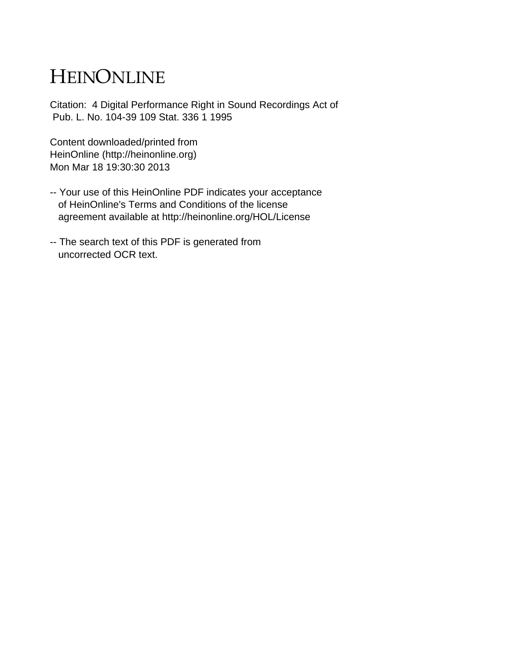# HEINONLINE

Citation: 4 Digital Performance Right in Sound Recordings Act of Pub. L. No. 104-39 109 Stat. 336 1 1995

Content downloaded/printed from HeinOnline (http://heinonline.org) Mon Mar 18 19:30:30 2013

- -- Your use of this HeinOnline PDF indicates your acceptance of HeinOnline's Terms and Conditions of the license agreement available at http://heinonline.org/HOL/License
- -- The search text of this PDF is generated from uncorrected OCR text.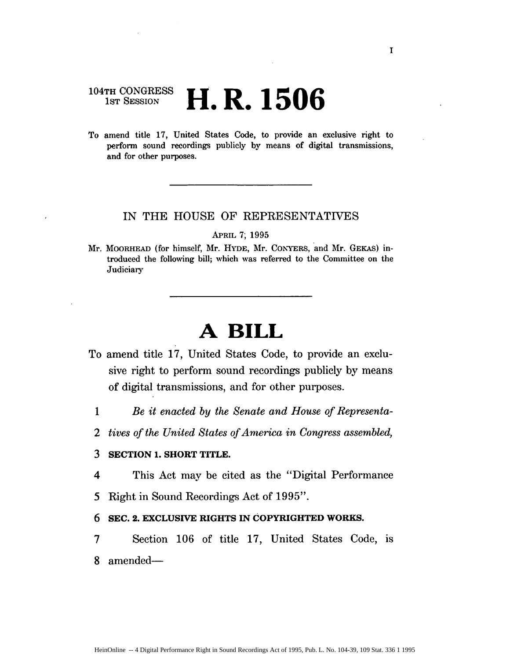# 104TH CONGRESS<br>1st Session **H. R. 1506**

To amend title **17,** United States Code, to provide an exclusive right to perform sound recordings publicly **by** means of digital transmissions, and for other purposes.

## IN THE HOUSE OF REPRESENTATIVES

APRIL 7; 1995

Mr. MOORHEAD (for himself, Mr. HYDE, Mr. **CONYERS,** and Mr. **GEKAS)** introduced the following bill; which was referred to the Committee on the **Judiciary** 

# **A BILL**

- To amend title 17, United States Code, to provide an exclusive right to perform sound recordings publicly by means of digital transmissions, and for other purposes.
	- 1 *Be it enacted by the Senate and House of Representa-*
- *2 tives of the United States of America in Congress assembled,*

# **3 SECTION 1. SHORT TITLE.**

- 4 This Act may be cited as the "Digital Performance
- **5** Right in Sound Recordings Act of 1995".

# **6 SEC. 2. EXCLUSIVE RIGHTS IN COPYRIGHTED WORKS.**

- **7** Section **106** of title **17,** United States Code, is
- **8** amended-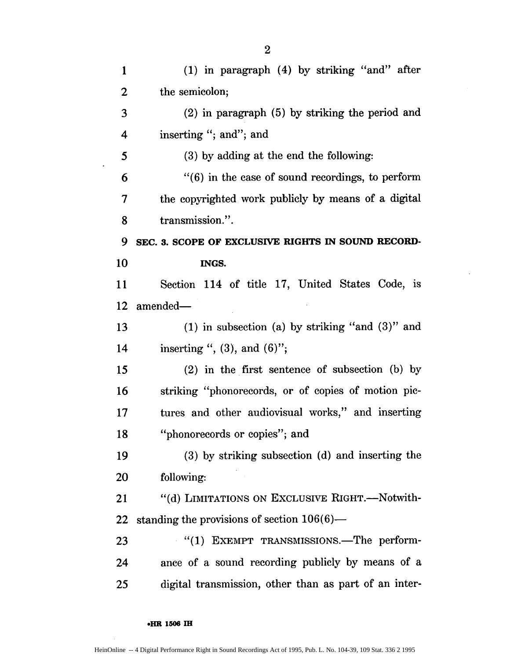| $\mathbf 1$      | $(1)$ in paragraph $(4)$ by striking "and" after      |
|------------------|-------------------------------------------------------|
| $\boldsymbol{2}$ | the semicolon;                                        |
| 3                | $(2)$ in paragraph $(5)$ by striking the period and   |
| 4                | inserting "; and"; and                                |
| 5                | (3) by adding at the end the following:               |
| 6                | "(6) in the case of sound recordings, to perform      |
| 7                | the copyrighted work publicly by means of a digital   |
| 8                | transmission.".                                       |
| 9                | SEC. 3. SCOPE OF EXCLUSIVE RIGHTS IN SOUND RECORD-    |
| 10               | INGS.                                                 |
| <b>11</b>        | Section 114 of title 17, United States Code, is       |
| 12               | amended-                                              |
| 13               | $(1)$ in subsection (a) by striking "and $(3)$ " and  |
| 14               | inserting $\cdot$ , (3), and (6)";                    |
| 15               | (2) in the first sentence of subsection (b) by        |
| 16               | striking "phonorecords, or of copies of motion pic-   |
| 17               | tures and other audiovisual works," and inserting     |
| 18               | "phonorecords or copies"; and                         |
| 19               | (3) by striking subsection (d) and inserting the      |
| <b>20</b>        | following:                                            |
| 21               | "(d) LIMITATIONS ON EXCLUSIVE RIGHT.—Notwith-         |
| 22               | standing the provisions of section $106(6)$ —         |
| 23               | "(1) EXEMPT TRANSMISSIONS.—The perform-               |
| 24               | ance of a sound recording publicly by means of a      |
| 25               | digital transmission, other than as part of an inter- |

 $\sim$ 

## **\*HR 1506 IH**

 $\mathcal{A}$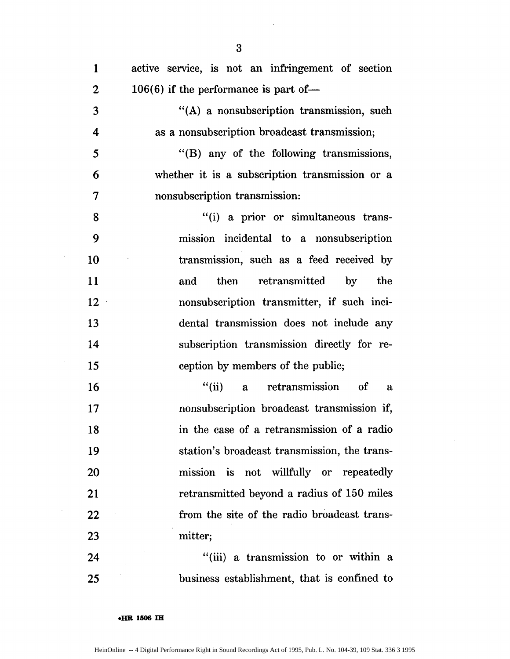| $\mathbf{1}$     | active service, is not an infringement of section                                    |
|------------------|--------------------------------------------------------------------------------------|
| $\boldsymbol{2}$ | $106(6)$ if the performance is part of-                                              |
| 3                | "(A) a nonsubscription transmission, such                                            |
| 4                | as a nonsubscription broadcast transmission;                                         |
| 5                | "(B) any of the following transmissions,                                             |
| 6                | whether it is a subscription transmission or a                                       |
| $\overline{7}$   | nonsubscription transmission:                                                        |
| 8                | "(i) a prior or simultaneous trans-                                                  |
| 9                | mission incidental to a nonsubscription                                              |
| 10               | transmission, such as a feed received by                                             |
| 11               | then<br>retransmitted<br>by<br>the<br>and                                            |
| 12               | nonsubscription transmitter, if such inci-                                           |
| 13               | dental transmission does not include any                                             |
| 14               | subscription transmission directly for re-                                           |
| 15               | ception by members of the public;                                                    |
| 16               | $\mathrm{``(ii)}$<br>retransmission<br><sub>of</sub><br>$\mathbf{a}$<br>$\mathbf{a}$ |
| 17               | nonsubscription broadcast transmission if,                                           |
| 18               | in the case of a retransmission of a radio                                           |
| 19               | station's broadcast transmission, the trans-                                         |
| 20               | mission is not willfully or repeatedly                                               |
| 21               | retransmitted beyond a radius of 150 miles                                           |
| 22               | from the site of the radio broadcast trans-                                          |
| 23               | mitter;                                                                              |
| 24               | "(iii) a transmission to or within a                                                 |
| 25               | business establishment, that is confined to                                          |

 $\bar{\mathcal{A}}$ 

**eHR 1506 IIH**

 $\sim 10^{-11}$ 

 $\sim 10^{-11}$ 

 $\bar{z}$ 

3

 $\sim$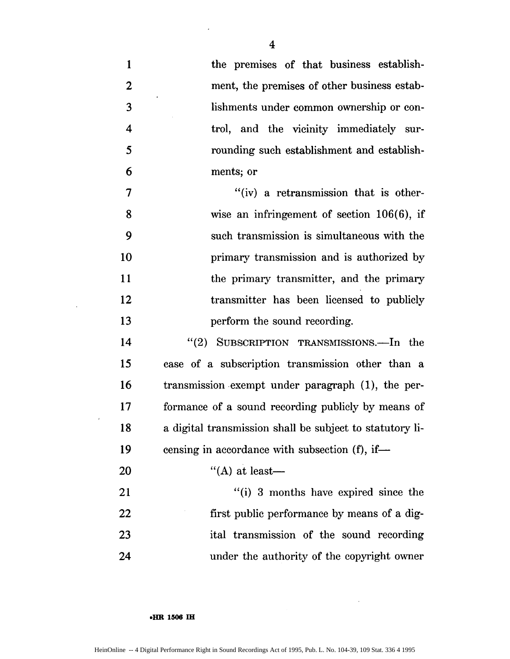$\overline{\phantom{a}}$ 

| $\mathbf{1}$     | the premises of that business establish-                 |
|------------------|----------------------------------------------------------|
| $\boldsymbol{2}$ | ment, the premises of other business estab-              |
| 3                | lishments under common ownership or con-                 |
| 4                | trol, and the vicinity immediately sur-                  |
| 5                | rounding such establishment and establish-               |
| 6                | ments; or                                                |
| $\boldsymbol{7}$ | $"$ (iv) a retransmission that is other-                 |
| 8                | wise an infringement of section $106(6)$ , if            |
| 9                | such transmission is simultaneous with the               |
| 10               | primary transmission and is authorized by                |
| 11               | the primary transmitter, and the primary                 |
| 12               | transmitter has been licensed to publicly                |
| 13               | perform the sound recording.                             |
| 14               | "(2) SUBSCRIPTION TRANSMISSIONS.—In the                  |
| 15               | case of a subscription transmission other than a         |
| 16               | transmission exempt under paragraph (1), the per-        |
| 17               | formance of a sound recording publicly by means of       |
| 18               | a digital transmission shall be subject to statutory li- |
| 19               | censing in accordance with subsection $(f)$ , if—        |
| 20               | "(A) at least-                                           |
| 21               | "(i) 3 months have expired since the                     |
| 22               | first public performance by means of a dig-              |
| 23               | ital transmission of the sound recording                 |
| 24               | under the authority of the copyright owner               |

#### **HR 1506 IH**

 $\sim 10^7$ 

 $\sim \kappa^{-1}$ 

 $\hat{A}$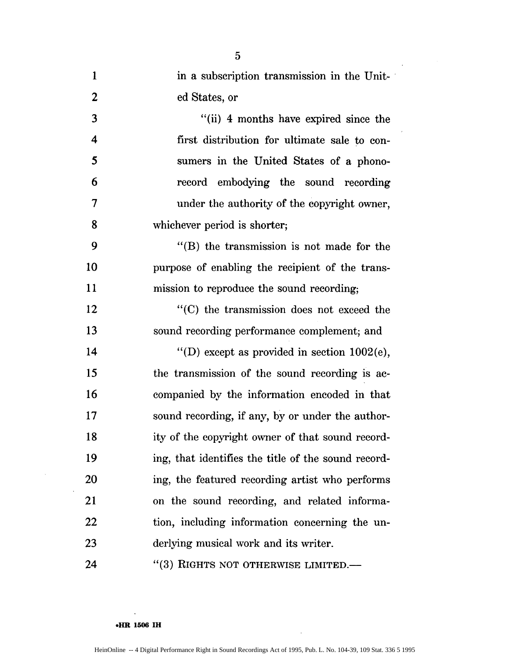| 1         | in a subscription transmission in the Unit-         |
|-----------|-----------------------------------------------------|
| 2         | ed States, or                                       |
| 3         | "(ii) 4 months have expired since the               |
| 4         | first distribution for ultimate sale to con-        |
| 5         | sumers in the United States of a phono-             |
| 6         | record embodying the sound recording                |
| 7         | under the authority of the copyright owner,         |
| 8         | whichever period is shorter;                        |
| 9         | "(B) the transmission is not made for the           |
| 10        | purpose of enabling the recipient of the trans-     |
| 11        | mission to reproduce the sound recording;           |
| 12        | "(C) the transmission does not exceed the           |
| 13        | sound recording performance complement; and         |
| 14        | "(D) except as provided in section $1002(e)$ ,      |
| 15        | the transmission of the sound recording is ac-      |
| 16        | companied by the information encoded in that        |
| 17        | sound recording, if any, by or under the author-    |
| 18        | ity of the copyright owner of that sound record-    |
| 19        | ing, that identifies the title of the sound record- |
| <b>20</b> | ing, the featured recording artist who performs     |
| 21        | on the sound recording, and related informa-        |
| 22        | tion, including information concerning the un-      |
| 23        | derlying musical work and its writer.               |
| 24        | "(3) RIGHTS NOT OTHERWISE LIMITED.-                 |

 $\mathcal{A}$ *\*HR* **1506 IH**

 $\mathcal{A}^{\text{max}}_{\text{max}}$ 

 $\label{eq:1} \frac{1}{\sqrt{2}}\int_{0}^{\pi}\frac{1}{\sqrt{2}}\left(\frac{1}{\sqrt{2}}\right)^{2}d\mu_{\rm{eff}}$ 

5

 $\sim$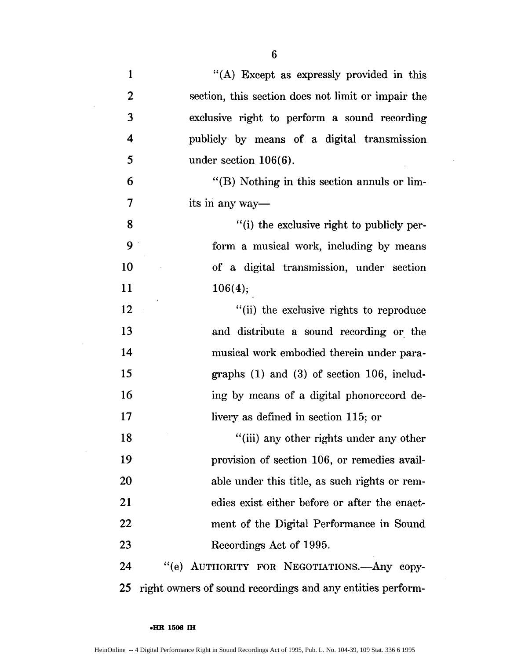| $\mathbf 1$      | "(A) Except as expressly provided in this                  |
|------------------|------------------------------------------------------------|
| $\boldsymbol{2}$ | section, this section does not limit or impair the         |
| 3                | exclusive right to perform a sound recording               |
| 4                | publicly by means of a digital transmission                |
| 5                | under section $106(6)$ .                                   |
| 6                | "(B) Nothing in this section annuls or lim-                |
| $\overline{7}$   | its in any way-                                            |
| 8                | "(i) the exclusive right to publicly per-                  |
| 9                | form a musical work, including by means                    |
| 10               | of a digital transmission, under section                   |
| 11               | 106(4);                                                    |
| 12               | "(ii) the exclusive rights to reproduce                    |
| 13               | and distribute a sound recording or the                    |
| 14               | musical work embodied therein under para-                  |
| 15               | graphs $(1)$ and $(3)$ of section 106, includ-             |
| 16               | ing by means of a digital phonorecord de-                  |
| 17               | livery as defined in section 115; or                       |
| 18               | "(iii) any other rights under any other                    |
| 19               | provision of section 106, or remedies avail-               |
| <b>20</b>        | able under this title, as such rights or rem-              |
| 21               | edies exist either before or after the enact-              |
| 22               | ment of the Digital Performance in Sound                   |
| 23               | Recordings Act of 1995.                                    |
| 24               | "(e) AUTHORITY FOR NEGOTIATIONS .- Any copy-               |
| 25               | right owners of sound recordings and any entities perform- |

#### **eR 1506 <sup>I</sup>**

 $\hat{\mathcal{A}}$ 

 $\sim 10^6$ 

 $\sim 10^{-11}$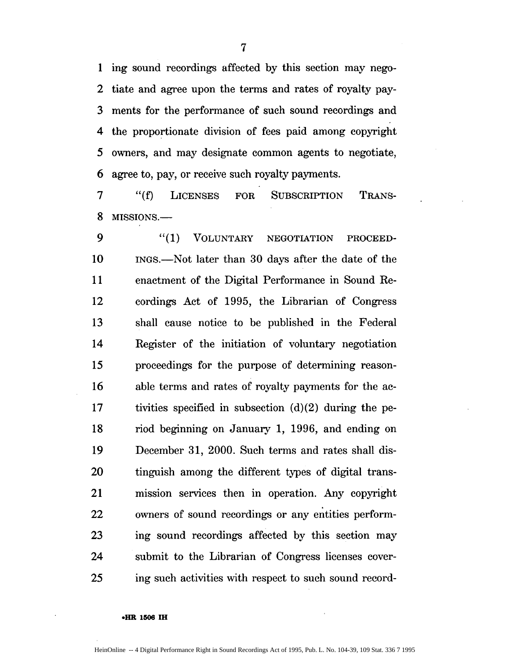1 ing sound recordings affected by this section may nego-2 tiate and agree upon the terms and rates of royalty pay-3 ments for the performance of such sound recordings and 4 the proportionate division of fees paid among copyright 5 owners, and may designate common agents to negotiate, 6 agree to, pay, or receive such royalty payments.

7 "(f) LICENSES FOR SUBSCRIPTION TRANS-8 MISSIONS.-

9 "(1) VOLUNTARY NEGOTIATION PROCEED-10 INGS.-Not later than 30 days after the date of the 11 enactment of the Digital Performance in Sound Re-12 cordings Act of 1995, the Librarian of Congress 13 shall cause notice to be published in the Federal 14 Register of the initiation of voluntary negotiation 15 proceedings for the purpose of determining reason-**16** able terms and rates of royalty payments for the ac-17 tivities specified in subsection  $(d)(2)$  during the pe-18 riod beginning on January 1, 1996, and ending on 19 December 31, 2000. Such terms and rates shall dis-20 tinguish among the different types of digital trans-21 mission services then in operation. Any copyright 22 owners of sound recordings or any entities perform-23 ing sound recordings affected by this section may 24 submit to the Librarian of Congress licenses cover-25 ing such activities with respect to such sound record-

**\*HR 1506 IH**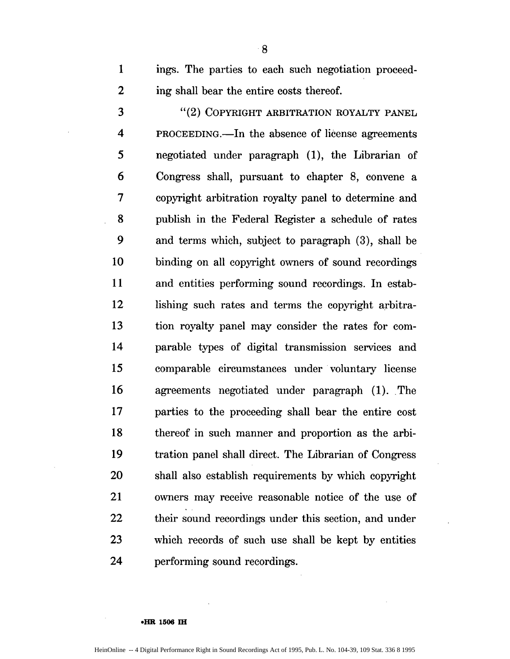1 ings. The parties to each such negotiation proceed-2 ing shall bear the entire costs thereof.

3 "(2) COPYRIGHT ARBITRATION ROYALTY PANEL 4 PROCEEDING.-In the absence of license agreements 5 negotiated under paragraph (1), the Librarian of 6 Congress shall, pursuant to chapter 8, convene a 7 copyright arbitration royalty panel to determine and 8 publish in the Federal Register a schedule of rates 9 and terms which, subject to paragraph (3), shall be 10 binding on all copyright owners of sound recordings 11 and entities performing sound recordings. In estab-12 lishing such rates and terms the copyright arbitra-**13** tion royalty panel may consider the rates for com-14 parable types of digital transmission services and *15* comparable circumstances under voluntary license 16 agreements negotiated under paragraph (1). The 17 parties to the proceeding shall bear the entire cost 18 thereof in such manner and proportion as the arbi-19 tration panel shall direct. The Librarian of Congress 20 shall also establish requirements by which copyright 21 owners may receive reasonable notice of the use of 22 their sound recordings under this section, and under 23 which records of such use shall be kept by entities 24 performing sound recordings.

#### **•** *HR* **1506 1H**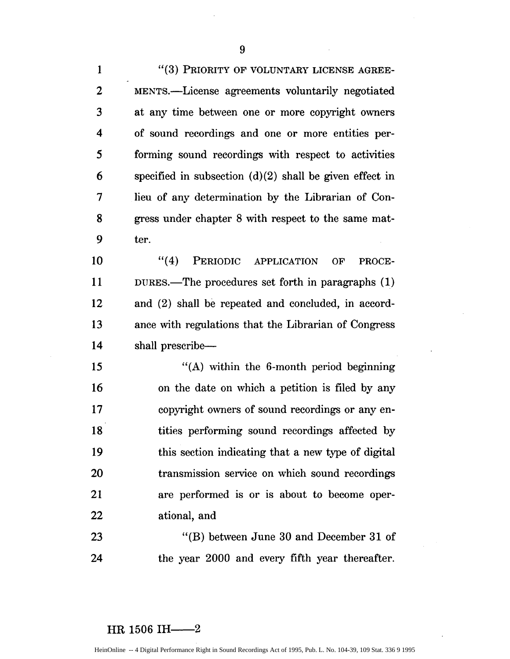1 "(3) PRIORITY OF VOLUNTARY LICENSE AGREE-2 MENTS.-License agreements voluntarily negotiated 3 at any time between one or more copyright owners 4 of sound recordings and one or more entities per-5 forming sound recordings with respect to activities 6 specified in subsection  $(d)(2)$  shall be given effect in 7 lieu of any determination by the Librarian of Con-8 gress under chapter 8 with respect to the same mat-9 ter. 10 "(4) PERIODIC APPLICATION OF PROCE-11 **DURES.—The procedures set forth in paragraphs (1)** 12 and (2) shall be repeated and concluded, in accord-13 ance with regulations that the Librarian of Congress

14 shall prescribe—

15 "(A) within the 6-month period beginning 16 on the date on which a petition is filed by any 17 copyright owners of sound recordings or any en-18 tities performing sound recordings affected by 19 this section indicating that a new type of digital 20 transmission service on which sound recordings 21 are performed is or is about to become oper-22 ational, and

23 "(B) between June 30 and December 31 of 24 the year 2000 and every fifth year thereafter.

9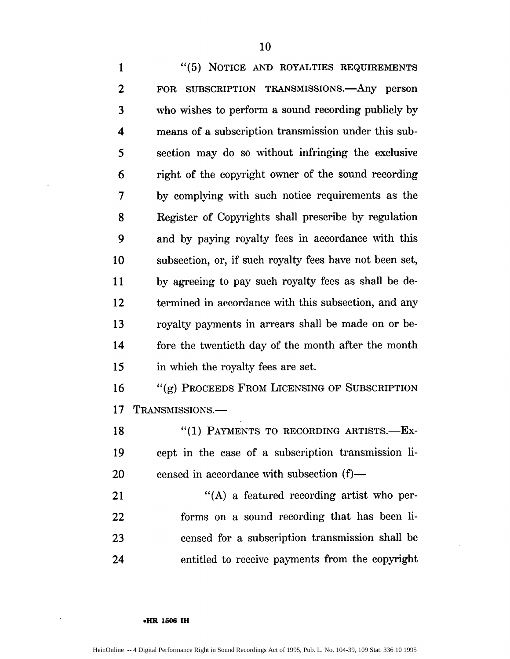1 "(5) NOTICE AND ROYALTIES REQUIREMENTS 2 FOR SUBSCRIPTION TRANSMISSIONS. Any person 3 who wishes to perform a sound recording publicly by 4 means of a subscription transmission under this sub-5 section may do so without infringing the exclusive 6 right of the copyright owner of the sound recording 7 by complying with such notice requirements as the 8 Register of Copyrights shall prescribe by regulation 9 and by paying royalty fees in accordance with this **10** subsection, or, if such royalty fees have not been set, 11 by agreeing to pay such royalty fees as shall be de-12 termined in accordance with this subsection, and any 13 royalty payments in arrears shall be made on or be-14 fore the twentieth day of the month after the month 15 in which the royalty fees are set.

16 "(g) PROCEEDS FROM LICENSING OF SUBSCRIPTION 17 TRANSMISSIONS.-

18 "(1) PAYMENTS TO RECORDING ARTISTS.-Ex-19 cept in the case of a subscription transmission li-20 censed in accordance with subsection (f)—

21 "(A) a featured recording artist who per-22 forms on a sound recording that has been li-23 censed for a subscription transmission shall be 24 entitled to receive payments from the copyright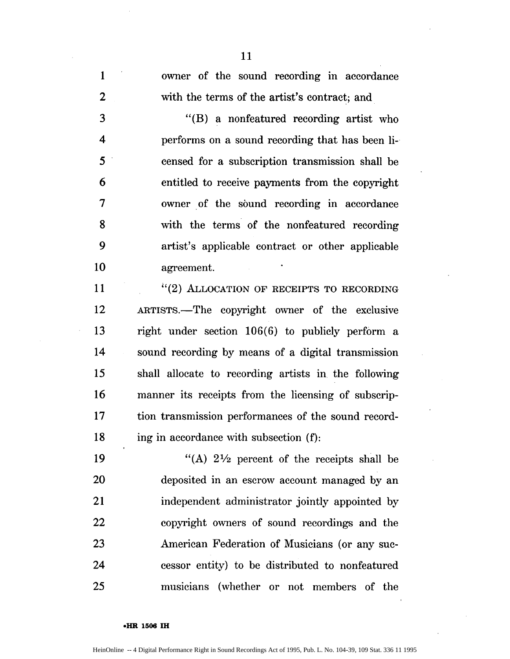|              | 11                                                   |
|--------------|------------------------------------------------------|
| $\mathbf{1}$ | owner of the sound recording in accordance           |
| $\mathbf{2}$ | with the terms of the artist's contract; and         |
| 3            | "(B) a nonfeatured recording artist who              |
| 4            | performs on a sound recording that has been li-      |
| 5            | censed for a subscription transmission shall be      |
| 6            | entitled to receive payments from the copyright      |
| 7            | owner of the sound recording in accordance           |
| 8            | with the terms of the nonfeatured recording          |
| 9            | artist's applicable contract or other applicable     |
| 10           | agreement.                                           |
| 11           | "(2) ALLOCATION OF RECEIPTS TO RECORDING             |
| 12           | ARTISTS.—The copyright owner of the exclusive        |
| 13           | right under section 106(6) to publicly perform a     |
| 14           | sound recording by means of a digital transmission   |
| 15           | shall allocate to recording artists in the following |
| 16           | manner its receipts from the licensing of subscrip-  |
| 17           | tion transmission performances of the sound record-  |
| 18           | ing in accordance with subsection (f):               |
| 19           | "(A) $2\frac{1}{2}$ percent of the receipts shall be |
| 20           | deposited in an escrow account managed by an         |
| 21           | independent administrator jointly appointed by       |
| 22           | copyright owners of sound recordings and the         |
| 23           | American Federation of Musicians (or any suc-        |
| 24           | cessor entity) to be distributed to nonfeatured      |
| 25           | musicians (whether or not members of the             |

**.HR 1506 IH**

 $\bar{z}$ 

 $\sim 10$ 

HeinOnline -- 4 Digital Performance Right in Sound Recordings Act of 1995, Pub. L. No. 104-39, 109 Stat. 336 11 1995

 $\mathcal{L}^{\mathcal{L}}$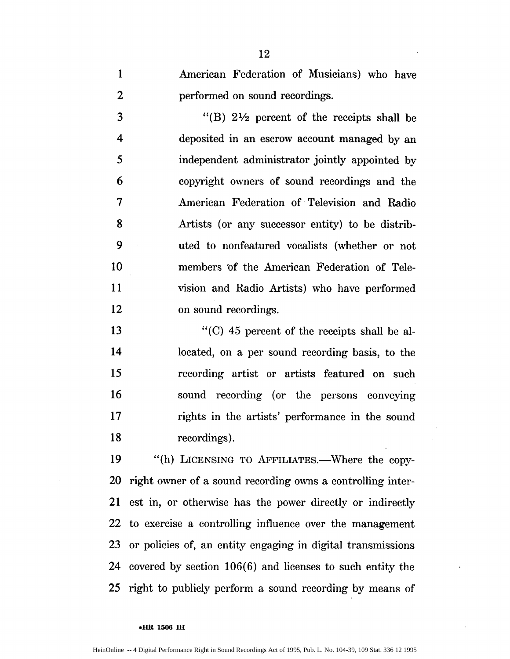1 American Federation of Musicians) who have 2 performed on sound recordings.

3 "(B)  $2\frac{1}{2}$  percent of the receipts shall be 4 deposited in an escrow account managed by an 5 independent administrator jointly appointed by 6 copyright owners of sound recordings and the 7 American Federation of Television and Radio 8 Artists (or any successor entity) to be distrib-9 uted to nonfeatured vocalists (whether or not 10 members of the American Federation of Tele-**11** vision and Radio Artists) who have performed 12 on sound recordings.

13  $\frac{1}{2}$  (C) 45 percent of the receipts shall be al-14 located, on a per sound recording basis, to the 15 recording artist or artists featured on such **16** sound recording (or the persons conveying 17 rights in the artists' performance in the sound 18 recordings).

19 "(h) LICENSING TO AFFILIATES.—Where the copy-20 right owner of a sound recording owns a controlling inter-21 est in, or otherwise has the power directly or indirectly 22 to exercise a controlling influence over the management 23 or policies of, an entity engaging in digital transmissions 24 covered by section 106(6) and licenses to such entity the 25 right to publicly perform a sound recording by means of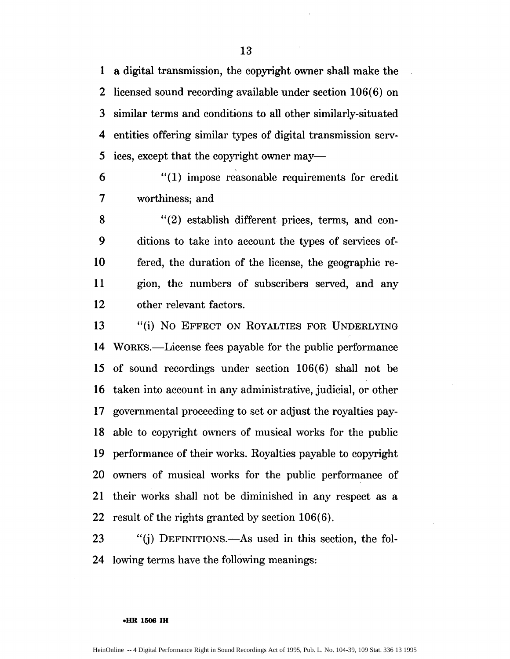1 a digital transmission, the copyright owner shall make the 2 licensed sound recording available under section 106(6) on 3 similar terms and conditions to all other similarly-situated 4 entities offering similar types of digital transmission serv-5 ices, except that the copyright owner may—

**6** "(1) impose reasonable requirements for credit 7 worthiness; and

8 "(2) establish different prices, terms, and con-9 ditions to take into account the types of services of-10 fered, the duration of the license, the geographic re-11 gion, the numbers of subscribers served, and any 12 other relevant factors.

13 "(i) No EFFECT ON ROYALTIES FOR UNDERLYING 14 WORKS.—License fees payable for the public performance 15 of sound recordings under section 106(6) shall not be 16 taken into account in any administrative, judicial, or other 17 governmental proceeding to set or adjust the royalties pay-18 able to copyright owners of musical works for the public 19 performance of their works. Royalties payable to copyright 20 owners of musical works for the public performance of 21 their works shall not be diminished in any respect as a 22 result of the rights granted by section 106(6).

23 "(j) DEFINITIONS.—As used in this section, the fol-24 lowing terms have the following meanings:

#### **.HR 1506 IH**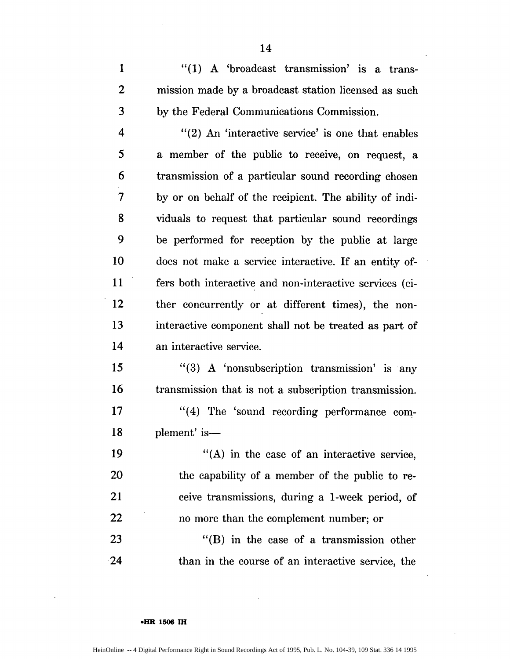1 "(1) A 'broadcast transmission' is a trans-2 mission made by a broadcast station licensed as such 3 by the Federal Communications Commission.

 $4$  "(2) An 'interactive service' is one that enables 5 a member of the public to receive, on request, a 6 transmission of a particular sound recording chosen 7 by or on behalf of the recipient. The ability of indi-8 viduals to request that particular sound recordings 9 be performed for reception by the public at large 10 does not make a service interactive. If an entity of-11 fers both interactive and non-interactive services (ei-12 ther concurrently or at different times), the non-13 interactive component shall not be treated as part of 14 an interactive service.

15 "(3) A 'nonsubscription transmission' is any 16 transmission that is not a subscription transmission. 17 "(4) The 'sound recording performance com-18 plement' is—

19 "(A) in the case of an interactive service, 20 the capability of a member of the public to re-21 ceive transmissions, during a 1-week period, of 22 no more than the complement number; or 23 "(B) in the case of a transmission other

<sup>24</sup> than in the course of an interactive service, the

#### **.111R 1506 IH**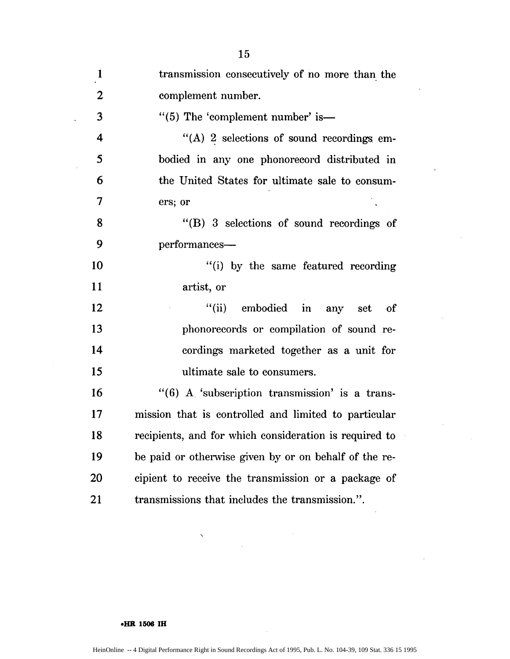| 1                | transmission consecutively of no more than the         |
|------------------|--------------------------------------------------------|
| $\boldsymbol{2}$ | complement number.                                     |
| 3                | $"$ (5) The 'complement number' is—                    |
| 4                | $\cdot$ (A) 2 selections of sound recordings em-       |
| 5                | bodied in any one phonorecord distributed in           |
| 6                | the United States for ultimate sale to consum-         |
| 7                | ers; or                                                |
| 8                | "(B) 3 selections of sound recordings of               |
| 9                | performances—                                          |
| 10               | "(i) by the same featured recording                    |
| 11               | artist, or                                             |
| 12               | ``(ii)<br>embodied in any set<br><sub>of</sub>         |
| 13               | phonorecords or compilation of sound re-               |
| 14               | cordings marketed together as a unit for               |
| 15               | ultimate sale to consumers.                            |
| 16               | $"$ (6) A 'subscription transmission' is a trans-      |
| 17               | mission that is controlled and limited to particular   |
| 18               | recipients, and for which consideration is required to |
| 19               | be paid or otherwise given by or on behalf of the re-  |
| 20               | cipient to receive the transmission or a package of    |
| 21               | transmissions that includes the transmission.".        |
|                  |                                                        |

 $\ddot{\phantom{a}}$ 

 $\bar{z}$ 

 $\sim$ 

 $\hat{\mathbf{v}}$ 

 $\sim$ 

 $\sim 10^6$ 

 $\mathcal{A}$ 

 $\mathcal{L}^{\text{max}}$ 

 $\Delta \phi$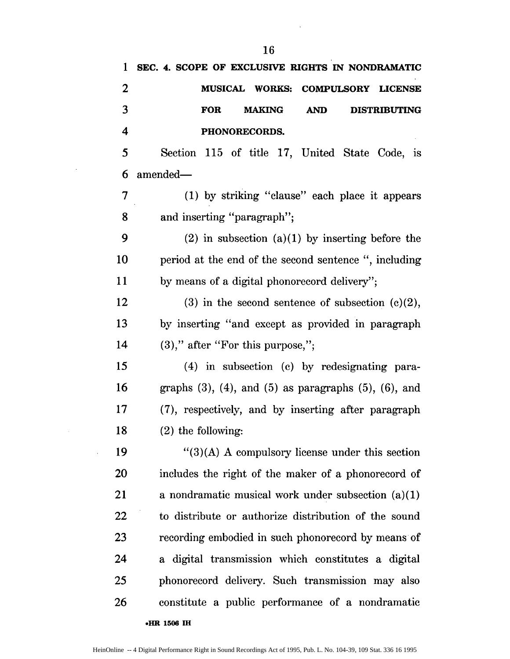$\mathcal{L}(\mathcal{A})$  .

 $\mathcal{L}^{\mathcal{L}}(\mathcal{L}^{\mathcal{L}})$  .

| 1                       | SEC. 4. SCOPE OF EXCLUSIVE RIGHTS IN NONDRAMATIC                   |
|-------------------------|--------------------------------------------------------------------|
| $\boldsymbol{2}$        | <b>MUSICAL WORKS:</b><br><b>COMPULSORY</b><br><b>LICENSE</b>       |
| 3                       | <b>MAKING</b><br><b>AND</b><br><b>FOR</b><br><b>DISTRIBUTING</b>   |
| $\overline{\mathbf{4}}$ | PHONORECORDS.                                                      |
| 5                       | Section 115 of title 17, United State Code, is                     |
| 6                       | amended—                                                           |
| 7                       | (1) by striking "clause" each place it appears                     |
| 8                       | and inserting "paragraph";                                         |
| 9                       | $(2)$ in subsection $(a)(1)$ by inserting before the               |
| 10                      | period at the end of the second sentence ", including              |
| 11                      | by means of a digital phonorecord delivery";                       |
| 12                      | $(3)$ in the second sentence of subsection $(c)(2)$ ,              |
| 13                      | by inserting "and except as provided in paragraph                  |
| 14                      | $(3)$ ," after "For this purpose,";                                |
| 15                      | (4) in subsection (c) by redesignating para-                       |
| 16                      | graphs $(3)$ , $(4)$ , and $(5)$ as paragraphs $(5)$ , $(6)$ , and |
| 17                      | (7), respectively, and by inserting after paragraph                |
| 18                      | (2) the following:                                                 |
| 19                      | $\cdot$ (3)(A) A compulsory license under this section             |
| 20                      | includes the right of the maker of a phonorecord of                |
| 21                      | a nondramatic musical work under subsection $(a)(1)$               |
| 22                      | to distribute or authorize distribution of the sound               |
| 23                      | recording embodied in such phonorecord by means of                 |
| 24                      | a digital transmission which constitutes a digital                 |
| 25                      | phonorecord delivery. Such transmission may also                   |
| 26                      | constitute a public performance of a nondramatic                   |
|                         | •HR 1506 IH                                                        |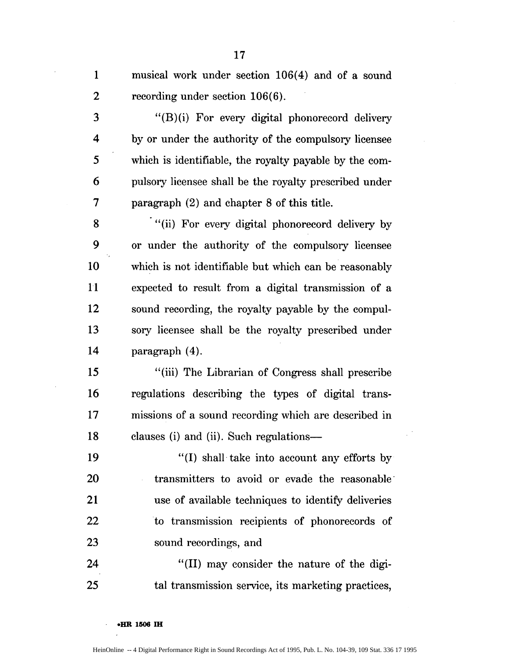| $\mathbf{1}$     | musical work under section 106(4) and of a sound       |
|------------------|--------------------------------------------------------|
| $\mathbf{2}$     | recording under section 106(6).                        |
| 3                | $\lq\lq(B)(i)$ For every digital phonorecord delivery  |
| $\boldsymbol{4}$ | by or under the authority of the compulsory licensee   |
| 5                | which is identifiable, the royalty payable by the com- |
| 6                | pulsory licensee shall be the royalty prescribed under |
| 7                | paragraph (2) and chapter 8 of this title.             |
| 8                | "(ii) For every digital phonorecord delivery by        |
| 9                | or under the authority of the compulsory licensee      |
| 10               | which is not identifiable but which can be reasonably  |
| <b>11</b>        | expected to result from a digital transmission of a    |
| 12               | sound recording, the royalty payable by the compul-    |
| 13               | sory licensee shall be the royalty prescribed under    |
| 14               | paragraph $(4)$ .                                      |
| 15               | "(iii) The Librarian of Congress shall prescribe       |
| 16               | regulations describing the types of digital trans-     |
| 17               | missions of a sound recording which are described in   |
| 18               | clauses (i) and (ii). Such regulations—                |
| 19               | "(I) shall take into account any efforts by            |
| <b>20</b>        | transmitters to avoid or evade the reasonable          |
| 21               | use of available techniques to identify deliveries     |
| 22               | to transmission recipients of phonorecords of          |
| 23               | sound recordings, and                                  |
| 24               | "(II) may consider the nature of the digi-             |
| 25               | tal transmission service, its marketing practices,     |

 $\frac{1}{2} \sum_{i=1}^{n} \frac{1}{2} \sum_{j=1}^{n} \frac{1}{2} \sum_{j=1}^{n} \frac{1}{2} \sum_{j=1}^{n} \frac{1}{2} \sum_{j=1}^{n} \frac{1}{2} \sum_{j=1}^{n} \frac{1}{2} \sum_{j=1}^{n} \frac{1}{2} \sum_{j=1}^{n} \frac{1}{2} \sum_{j=1}^{n} \frac{1}{2} \sum_{j=1}^{n} \frac{1}{2} \sum_{j=1}^{n} \frac{1}{2} \sum_{j=1}^{n} \frac{1}{2} \sum_{j=1}^{n$ 

**oHR 1506 IH**

 $\mathcal{L}^{\pm}$ 

 $\sim$   $\sim$ 

 $\mathcal{L}_{\mathcal{L}}$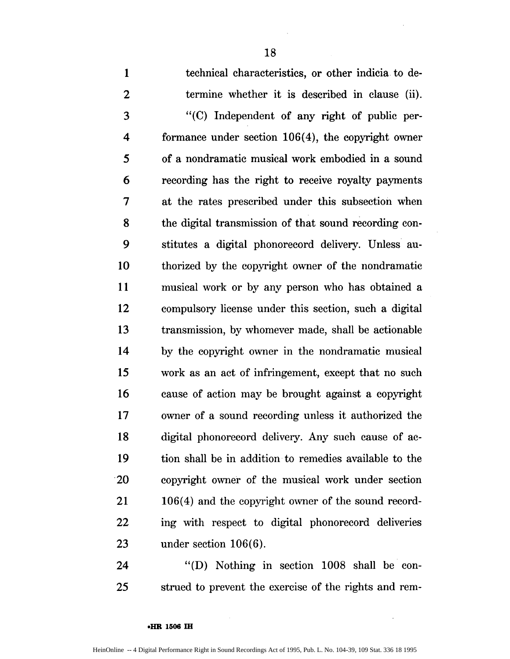1 technical characteristics, or other indicia to de-2 termine whether it is described in clause (ii).

3 "(C) Independent of any right of public per-4 formance under section 106(4), the copyright owner 5 of a nondramatic musical work embodied in a sound 6 recording has the right to receive royalty payments 7 at the rates prescribed under this subsection when 8 the digital transmission of that sound recording con-9 stitutes a digital phonorecord delivery. Unless au-**10** thorized by the copyright owner of the nondramatic 11 musical work or by any person who has obtained a 12 compulsory license under this section, such a digital 13 transmission, by whomever made, shall be actionable 14 by the copyright owner in the nondramatic musical 15 work as an act of infringement, except that no such 16 cause of action may be brought against a copyright 17 owner of a sound recording unless it authorized the 18 digital phonorecord delivery. Any such cause of ac-19 tion shall be in addition to remedies available to the 20 copyright owner of the musical work under section 21 106(4) and the copyright owner of the sound record-22 ing with respect to digital phonorecord deliveries 23 under section 106(6).

24 "(D) Nothing in section 1008 shall be con-25 strued to prevent the exercise of the rights and rem-

#### oIHR **1506 I**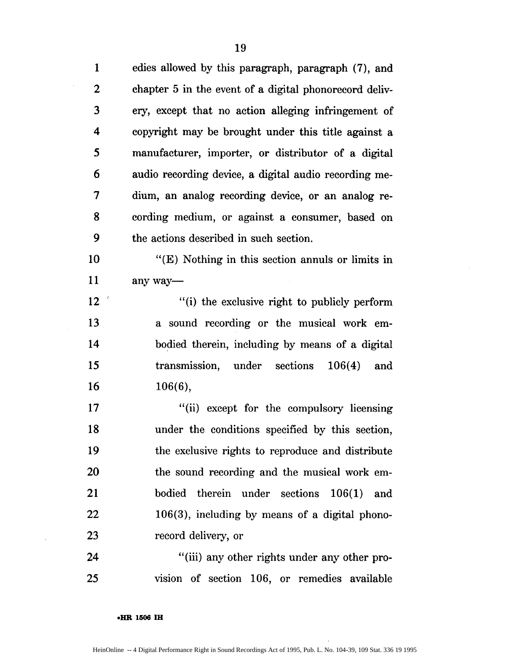| 1                | edies allowed by this paragraph, paragraph (7), and    |
|------------------|--------------------------------------------------------|
| $\boldsymbol{2}$ | chapter 5 in the event of a digital phonorecord deliv- |
| 3                | ery, except that no action alleging infringement of    |
| 4                | copyright may be brought under this title against a    |
| 5                | manufacturer, importer, or distributor of a digital    |
| 6                | audio recording device, a digital audio recording me-  |
| 7                | dium, an analog recording device, or an analog re-     |
| 8                | cording medium, or against a consumer, based on        |
| 9                | the actions described in such section.                 |
| 10               | " $(E)$ Nothing in this section annuls or limits in    |
| 11               | any way-                                               |
| 12               | "(i) the exclusive right to publicly perform           |
| 13               | a sound recording or the musical work em-              |
| 14               | bodied therein, including by means of a digital        |
| 15               | transmission, under sections 106(4)<br>and             |
| 16               | $106(6)$ ,                                             |
| 17               | "(ii) except for the compulsory licensing              |
| 18               | under the conditions specified by this section,        |
| 19               | the exclusive rights to reproduce and distribute       |
| 20               | the sound recording and the musical work em-           |
| 21               | bodied therein under sections 106(1) and               |
| 22               | $106(3)$ , including by means of a digital phono-      |
| 23               | record delivery, or                                    |
| 24               | "(iii) any other rights under any other pro-           |
| 25               | vision of section 106, or remedies available           |

 $\mathbb{R}^2$ 

 $\sim 10^7$ 

**\*HR 1506 IH**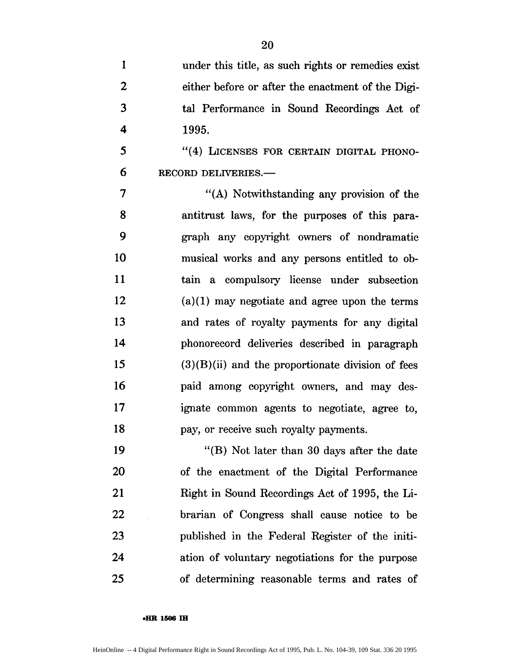20

| $\mathbf{1}$            | under this title, as such rights or remedies exist  |
|-------------------------|-----------------------------------------------------|
| $\boldsymbol{2}$        | either before or after the enactment of the Digi-   |
| 3                       | tal Performance in Sound Recordings Act of          |
| $\overline{\mathbf{4}}$ | 1995.                                               |
| 5                       | "(4) LICENSES FOR CERTAIN DIGITAL PHONO-            |
| 6                       | RECORD DELIVERIES.-                                 |
| 7                       | "(A) Notwithstanding any provision of the           |
| 8                       | antitrust laws, for the purposes of this para-      |
| 9                       | graph any copyright owners of nondramatic           |
| 10                      | musical works and any persons entitled to ob-       |
| 11                      | tain a compulsory license under subsection          |
| 12                      | $(a)(1)$ may negotiate and agree upon the terms     |
| 13                      | and rates of royalty payments for any digital       |
| 14                      | phonorecord deliveries described in paragraph       |
| 15                      | $(3)(B)(ii)$ and the proportionate division of fees |
| 16                      | paid among copyright owners, and may des-           |
| 17                      | ignate common agents to negotiate, agree to,        |
| 18                      | pay, or receive such royalty payments.              |
| 19                      | "(B) Not later than 30 days after the date          |
| 20                      | of the enactment of the Digital Performance         |
| 21                      | Right in Sound Recordings Act of 1995, the Li-      |
| 22                      | brarian of Congress shall cause notice to be        |
| 23                      | published in the Federal Register of the initi-     |
| 24                      | ation of voluntary negotiations for the purpose     |
| 25                      | of determining reasonable terms and rates of        |

**sIIl 1506 EfR**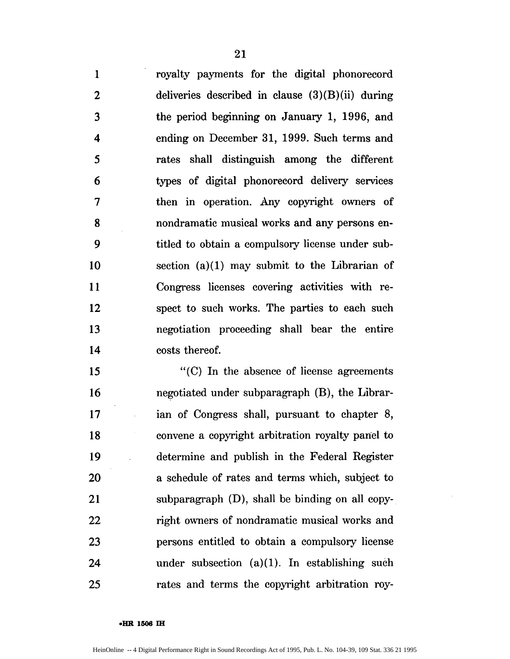1 royalty payments for the digital phonorecord 2 deliveries described in clause (3)(B)(ii) during 3 the period beginning on January 1, 1996, and 4 ending on December 31, 1999. Such terms and 5 rates shall distinguish among the different **6** types of digital phonorecord delivery services 7 then in operation. Any copyright owners of 8 nondramatic musical works and any persons en-9 titled to obtain a compulsory license under sub-10 section (a)(1) may submit to the Librarian of 11 Congress licenses covering activities with re-12 spect to such works. The parties to each such 13 negotiation proceeding shall bear the entire 14 costs thereof.

15 "(C) In the absence of license agreements **16** negotiated under subparagraph (B), the Librar-17 ian of Congress shall, pursuant to chapter 8, 18 convene a copyright arbitration royalty panel to 19 determine and publish in the Federal Register 20 a schedule of rates and terms which, subject to 21 subparagraph (D), shall be binding on all copy-22 right owners of nondramatic musical works and 23 persons entitled to obtain a compulsory license 24 under subsection (a)(1). In establishing such 25 rates and terms the copyright arbitration roy-

**.11[l 1506** 1H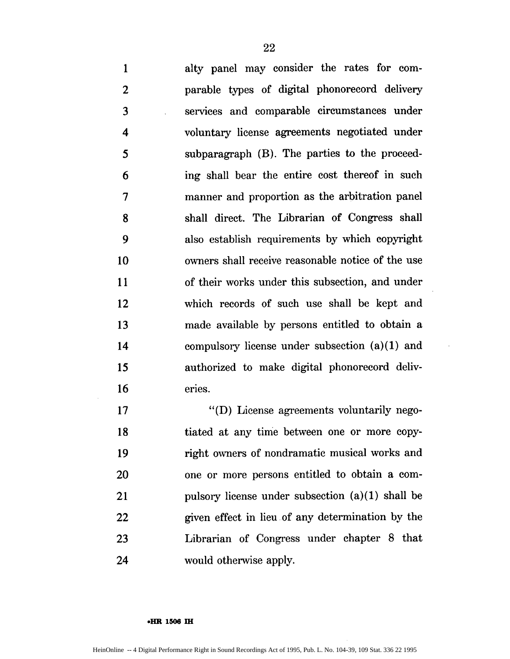- 22
- 1 alty panel may consider the rates for com-2 parable types of digital phonorecord delivery 3 services and comparable circumstances under 4 voluntary license agreements negotiated under 5 subparagraph (B). The parties to the proceed-**6** ing shall bear the entire cost thereof in such 7 manner and proportion as the arbitration panel 8 shall direct. The Librarian of Congress shall 9 also establish requirements by which copyright 10 owners shall receive reasonable notice of the use 11 of their works under this subsection, and under 12 which records of such use shall be kept and 13 made available by persons entitled to obtain a 14 compulsory license under subsection (a)(1) and 15 authorized to make digital phonorecord deliv-16 eries. 17 "(D) License agreements voluntarily nego-18 tiated at any time between one or more copy-
- 19 right owners of nondramatic musical works and 20 one or more persons entitled to obtain a com-21 **pulsory license under subsection**  $(a)(1)$  shall be 22 given effect in lieu of any determination by the 23 Librarian of Congress under chapter 8 that 24 would otherwise apply.

#### **\*HIR 1506 IH**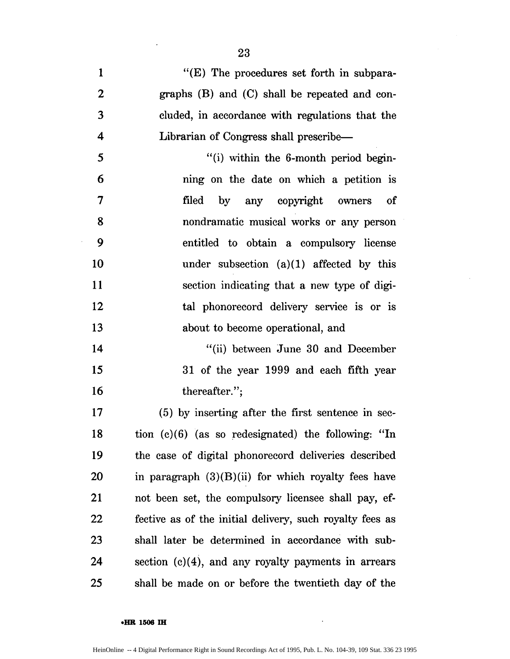1 "(E) The procedures set forth in subpara-2 graphs (B) and (C) shall be repeated and con-3 cluded, in accordance with regulations that the 4 Librarian of Congress shall prescribe— 5 "(i) within the 6-month period begin-**6** ning on the date on which a petition is 7 filed by any copyright owners of 8 nondramatic musical works or any person 9 entitled to obtain a compulsory license 10 under subsection (a)(1) affected by this 11 section indicating that a new type of digi-12 tal phonorecord delivery service is or is 13 about to become operational, and 14 "(ii) between June 30 and December" 15 31 of the year 1999 and each fifth year **16** thereafter.";

17 (5) by inserting after the first sentence in sec-18 tion (c)(6) (as so redesignated) the following: "In 19 the case of digital phonorecord deliveries described 20 in paragraph  $(3)(B)(ii)$  for which royalty fees have 21 not been set, the compulsory licensee shall pay, ef-22 fective as of the initial delivery, such royalty fees as 23 shall later be determined in accordance with sub-24 section (c)(4), and any royalty payments in arrears 25 shall be made on or before the twentieth day of the

**9HR 1506 IM**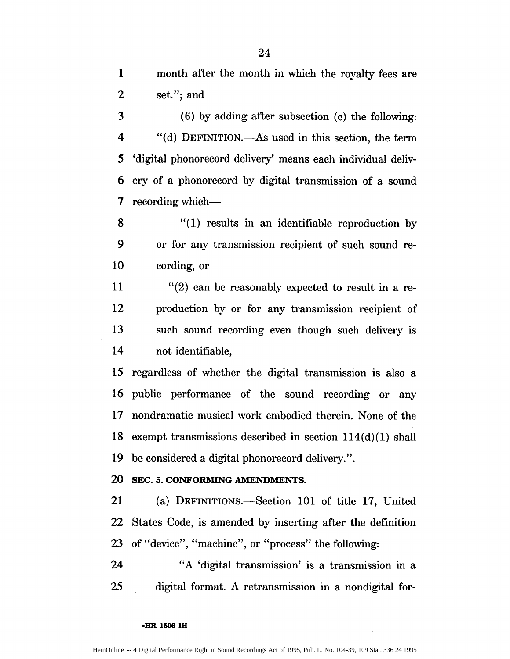1 month after the month in which the royalty fees are 2 set."; and

3 (6) by adding after subsection (c) the following: 4 "(d) DEFINITION.—As used in this section, the term 5 'digital phonorecord delivery' means each individual deliv-6 ery of a phonorecord by digital transmission of a sound 7 recording which-

8 "(1) results in an identifiable reproduction by 9 or for any transmission recipient of such sound re-10 cording, or

11 "(2) can be reasonably expected to result in a re-12 production by or for any transmission recipient of 13 such sound recording even though such delivery is 14 not identifiable,

15 regardless of whether the digital transmission is also a 16 public performance of the sound recording or any 17 nondramatic musical work embodied therein. None of the 18 exempt transmissions described in section 114(d)(1) shall 19 be considered a digital phonorecord delivery.".

### 20 **SEC. 5. CONFORMING AMENDMENTS.**

21 (a) DEFINITIONS.—Section 101 of title 17, United 22 States Code, is amended by inserting after the definition 23 of "device", "machine", or "process" the following:

24 "A 'digital transmission' is a transmission in a 25 digital format. A retransmission in a nondigital for-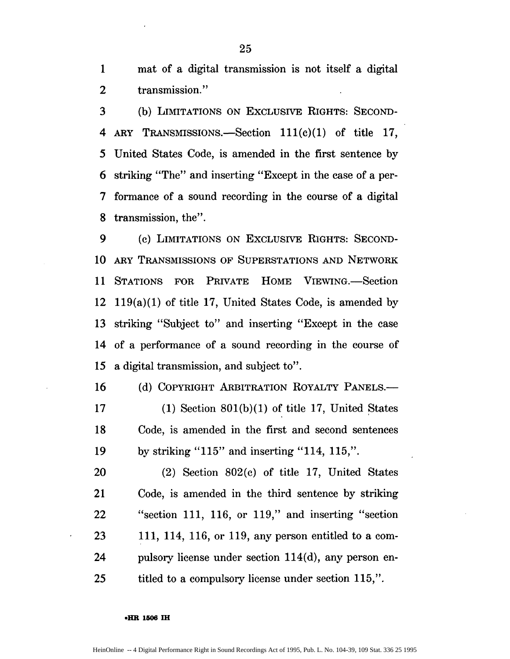1 mat of a digital transmission is not itself a digital 2 transmission."

3 (b) LIMITATIONS ON EXCLUSIVE RIGHTS: SECOND-4 ARY TRANSMISSIONS.—Section  $111(c)(1)$  of title 17, 5 United States Code, is amended in the first sentence by 6 striking "The" and inserting "Except in the case of a per-7 formance of a sound recording in the course of a digital 8 transmission, the".

9 (c) LIMITATIONS ON EXCLUSIVE RIGHTS: SECOND-10 ARY TRANSMISSIONS OF SUPERSTATIONS AND NETWORK 11 STATIONS FOR PRIVATE HOME VIEWING.-Section 12 119(a)(1) of title 17, United States Code, is amended by 13 striking "Subject to" and inserting "Except in the case 14 of a performance of a sound recording in the course of 15 a digital transmission, and subject to".

16 (d) COPYRIGHT ARBITRATION ROYALTY PANELS. 17 (1) Section 801(b)(1) of title 17, United States 18 Code, is amended in the first and second sentences 19 by striking "115" and inserting "114, 115,".

20 (2) Section 802(c) of title 17, United States 21 Code, is amended in the third sentence by striking 22 "section 111, 116, or 119," and inserting "section 23 111, 114, 116, or 119, any person entitled to a com-24 pulsory license under section 114(d), any person en-25 titled to a compulsory license under section 115,".

**\*HR 1506 1H**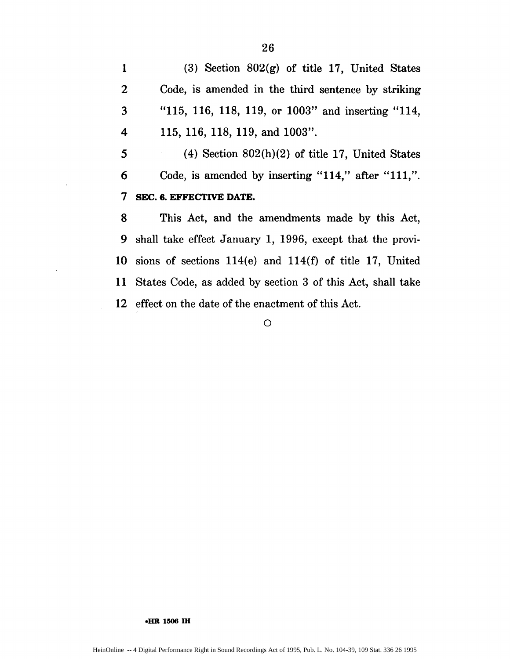1 (3) Section 802(g) of title **17,** United States 2 Code, is amended in the third sentence by striking 3 "115, 116, 118, 119, or 1003" and inserting "114, 4 115, 116, 118, 119, and 1003".

**5** (4) Section 802(h)(2) of title 17, United States 6 Code, is amended by inserting "114," after "111," **7 SEC.** *6.* **EFFECTIVE DATE.**

8 This Act, and the amendments made by this Act, 9 shall take effect January 1, 1996, except that the provi-10 sions of sections 114(e) and 114(f) of title 17, United 11 States Code, as added by section 3 of this Act, shall take 12 effect on the date of the enactment of this Act.

**0**

26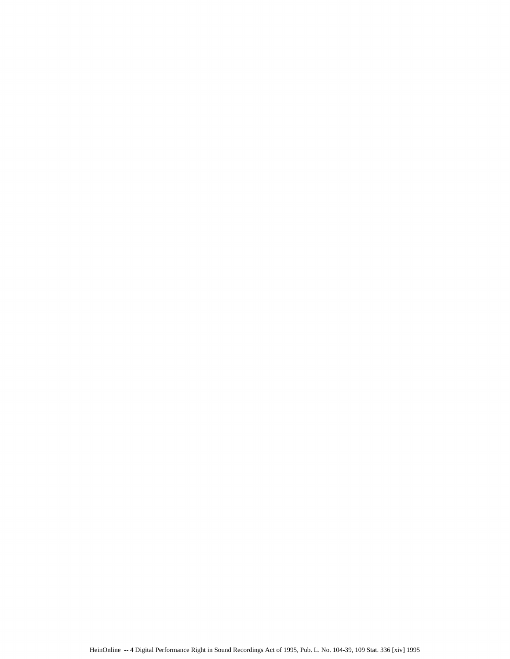HeinOnline -- 4 Digital Performance Right in Sound Recordings Act of 1995, Pub. L. No. 104-39, 109 Stat. 336 [xiv] 1995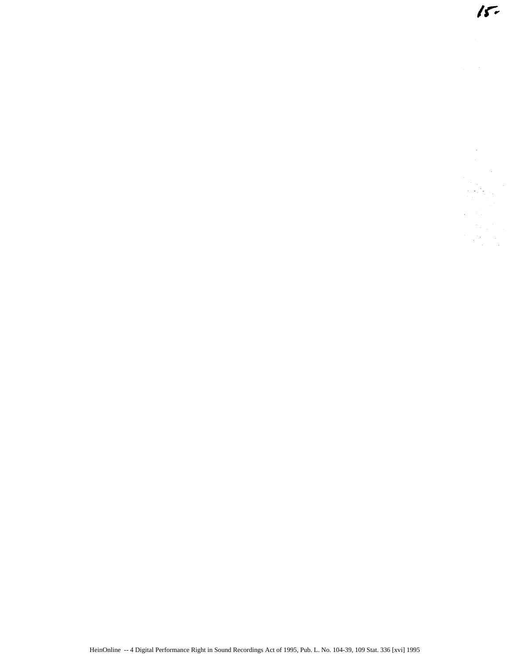HeinOnline -- 4 Digital Performance Right in Sound Recordings Act of 1995, Pub. L. No. 104-39, 109 Stat. 336 [xvi] 1995

 $15 -$ 

 $\sim$   $\sim$ 

 $\mathcal{F}_{\mathcal{A}}$  $\epsilon_{\rm{max}}^{(3)}$  Ġ,